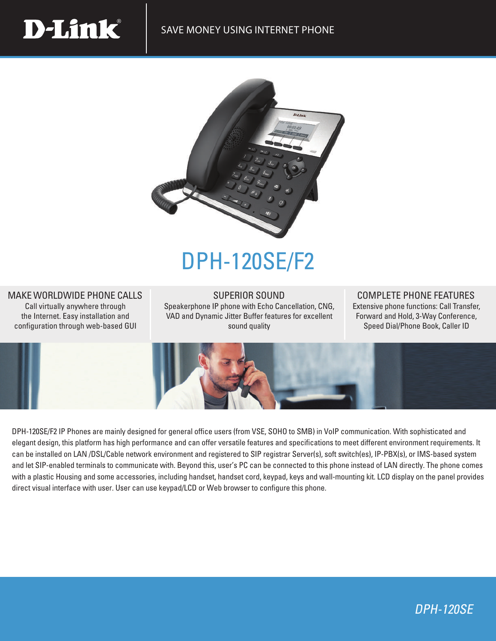

## DPH-120SE/F2

## MAKE WORLDWIDE PHONE CALLS

**D-Link** 

Call virtually anywhere through the Internet. Easy installation and configuration through web-based GUI

SUPERIOR SOUND Speakerphone IP phone with Echo Cancellation, CNG, VAD and Dynamic Jitter Buffer features for excellent sound quality

## COMPLETE PHONE FEATURES

Extensive phone functions: Call Transfer, Forward and Hold, 3-Way Conference, Speed Dial/Phone Book, Caller ID



DPH-120SE/F2 IP Phones are mainly designed for general office users (from VSE, SOHO to SMB) in VoIP communication. With sophisticated and elegant design, this platform has high performance and can offer versatile features and specifications to meet different environment requirements. It can be installed on LAN /DSL/Cable network environment and registered to SIP registrar Server(s), soft switch(es), IP-PBX(s), or IMS-based system and let SIP-enabled terminals to communicate with. Beyond this, user's PC can be connected to this phone instead of LAN directly. The phone comes with a plastic Housing and some accessories, including handset, handset cord, keypad, keys and wall-mounting kit. LCD display on the panel provides direct visual interface with user. User can use keypad/LCD or Web browser to configure this phone.

## DPH-120SE